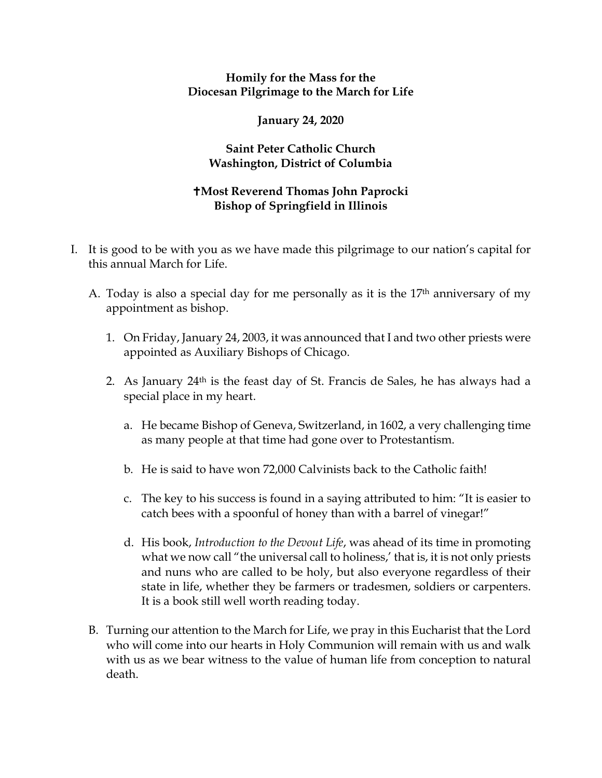## **Homily for the Mass for the Diocesan Pilgrimage to the March for Life**

## **January 24, 2020**

## **Saint Peter Catholic Church Washington, District of Columbia**

## **Most Reverend Thomas John Paprocki Bishop of Springfield in Illinois**

- I. It is good to be with you as we have made this pilgrimage to our nation's capital for this annual March for Life.
	- A. Today is also a special day for me personally as it is the 17th anniversary of my appointment as bishop.
		- 1. On Friday, January 24, 2003, it was announced that I and two other priests were appointed as Auxiliary Bishops of Chicago.
		- 2. As January  $24<sup>th</sup>$  is the feast day of St. Francis de Sales, he has always had a special place in my heart.
			- a. He became Bishop of Geneva, Switzerland, in 1602, a very challenging time as many people at that time had gone over to Protestantism.
			- b. He is said to have won 72,000 Calvinists back to the Catholic faith!
			- c. The key to his success is found in a saying attributed to him: "It is easier to catch bees with a spoonful of honey than with a barrel of vinegar!"
			- d. His book, *Introduction to the Devout Life*, was ahead of its time in promoting what we now call "the universal call to holiness,' that is, it is not only priests and nuns who are called to be holy, but also everyone regardless of their state in life, whether they be farmers or tradesmen, soldiers or carpenters. It is a book still well worth reading today.
	- B. Turning our attention to the March for Life, we pray in this Eucharist that the Lord who will come into our hearts in Holy Communion will remain with us and walk with us as we bear witness to the value of human life from conception to natural death.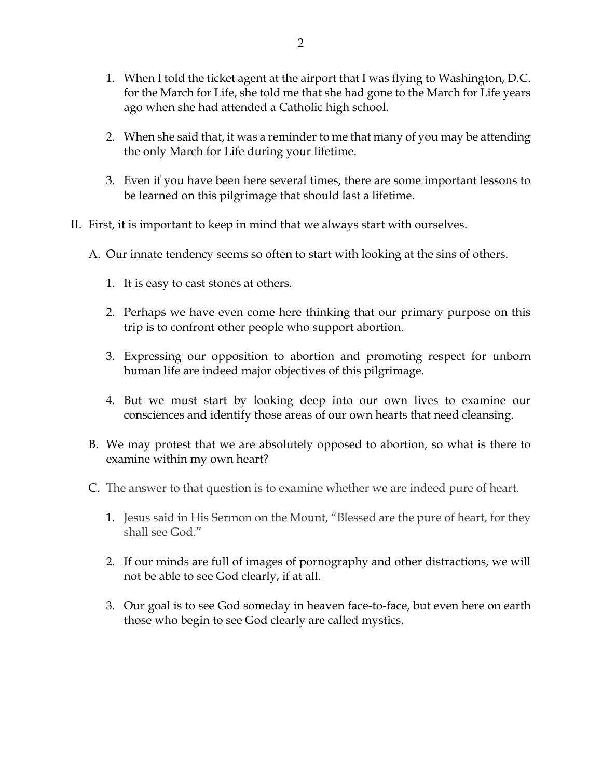- 1. When I told the ticket agent at the airport that I was flying to Washington, D.C. for the March for Life, she told me that she had gone to the March for Life years ago when she had attended a Catholic high school.
- 2. When she said that, it was a reminder to me that many of you may be attending the only March for Life during your lifetime.
- 3. Even if you have been here several times, there are some important lessons to be learned on this pilgrimage that should last a lifetime.
- II. First, it is important to keep in mind that we always start with ourselves.
	- A. Our innate tendency seems so often to start with looking at the sins of others.
		- 1. It is easy to cast stones at others.
		- 2. Perhaps we have even come here thinking that our primary purpose on this trip is to confront other people who support abortion.
		- 3. Expressing our opposition to abortion and promoting respect for unborn human life are indeed major objectives of this pilgrimage.
		- 4. But we must start by looking deep into our own lives to examine our consciences and identify those areas of our own hearts that need cleansing.
	- B. We may protest that we are absolutely opposed to abortion, so what is there to examine within my own heart?
	- C. The answer to that question is to examine whether we are indeed pure of heart.
		- 1. Jesus said in His Sermon on the Mount, "Blessed are the pure of heart, for they shall see God."
		- 2. If our minds are full of images of pornography and other distractions, we will not be able to see God clearly, if at all.
		- 3. Our goal is to see God someday in heaven face-to-face, but even here on earth those who begin to see God clearly are called mystics.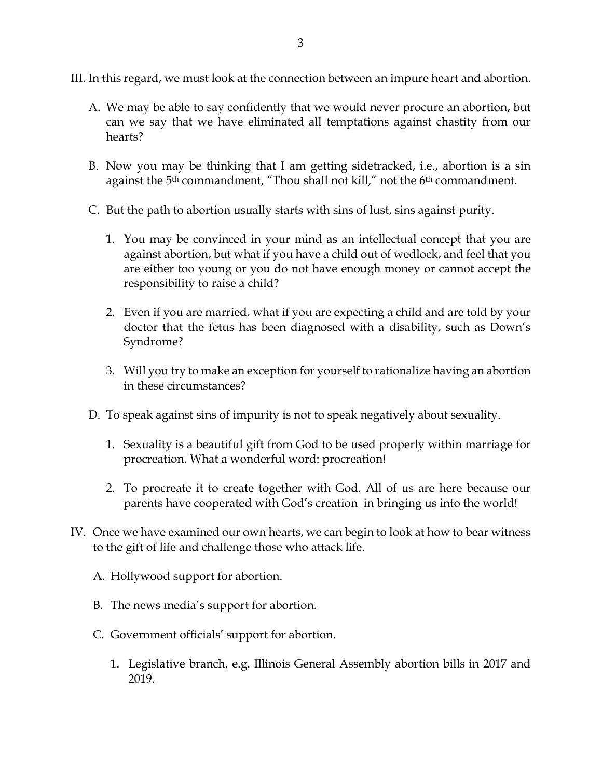III. In this regard, we must look at the connection between an impure heart and abortion.

- A. We may be able to say confidently that we would never procure an abortion, but can we say that we have eliminated all temptations against chastity from our hearts?
- B. Now you may be thinking that I am getting sidetracked, i.e., abortion is a sin against the 5<sup>th</sup> commandment, "Thou shall not kill," not the 6<sup>th</sup> commandment.
- C. But the path to abortion usually starts with sins of lust, sins against purity.
	- 1. You may be convinced in your mind as an intellectual concept that you are against abortion, but what if you have a child out of wedlock, and feel that you are either too young or you do not have enough money or cannot accept the responsibility to raise a child?
	- 2. Even if you are married, what if you are expecting a child and are told by your doctor that the fetus has been diagnosed with a disability, such as Down's Syndrome?
	- 3. Will you try to make an exception for yourself to rationalize having an abortion in these circumstances?
- D. To speak against sins of impurity is not to speak negatively about sexuality.
	- 1. Sexuality is a beautiful gift from God to be used properly within marriage for procreation. What a wonderful word: procreation!
	- 2. To procreate it to create together with God. All of us are here because our parents have cooperated with God's creation in bringing us into the world!
- IV. Once we have examined our own hearts, we can begin to look at how to bear witness to the gift of life and challenge those who attack life.
	- A. Hollywood support for abortion.
	- B. The news media's support for abortion.
	- C. Government officials' support for abortion.
		- 1. Legislative branch, e.g. Illinois General Assembly abortion bills in 2017 and 2019.